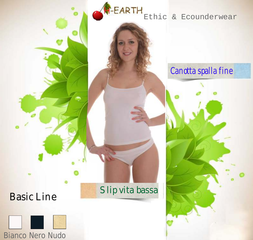**EARTH**<br>Ethic & Ecounderwear

#### Canotta spalla fine

## Basic Line



Slip vita bassa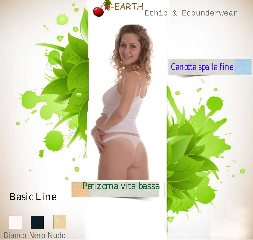

#### F-EARTH Ethic & Ecounderwear

# Perizoma vita bassa

# Basic Line



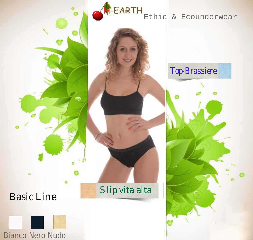



#### Slip vita alta

## Top-Brassiere

# **EARTH**<br>Ethic & Ecounderwear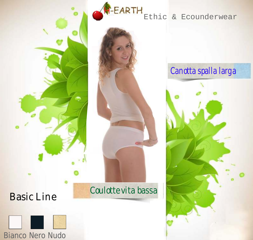



## Basic Line



#### Coulotte vita bassa

# Canotta spalla larga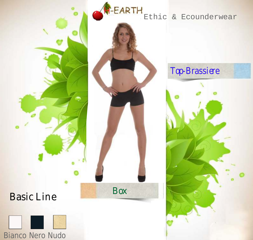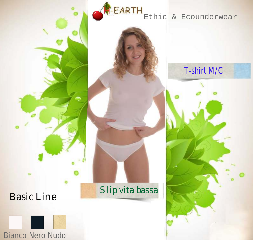Basic Line



### Slip vita bassa



# L**EARTH**<br>Ethic & Ecounderwear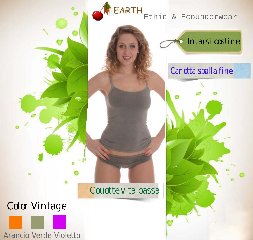

Ethic & Ecounderwear



#### Canotta spalla fine

#### Couotte vita bassa

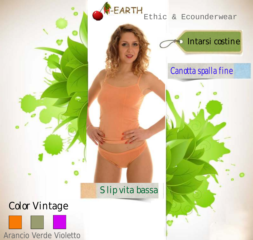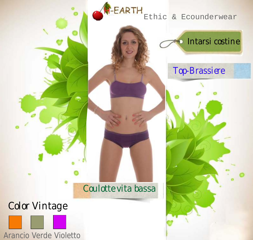-EARTH

Ethic & Ecounderwear



#### Top-Brassiere

## Coulotte vita bassa

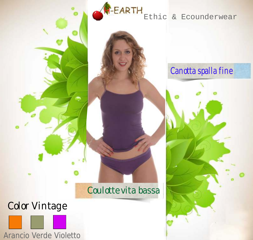EARTH Ethic & Ecounderwear

#### Canotta spalla fine

### Coulotte vita bassa

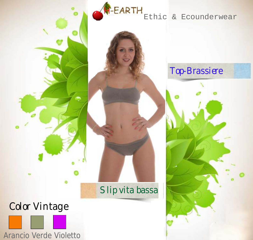FARTH Ethic & Ecounderwear

# Slip vita bassa

Color Vintage



#### Top-Brassiere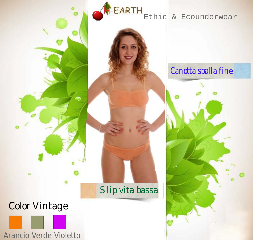**EARTH** Ethic & Ecounderwear

#### Canotta spalla fine

#### Slip vita bassa

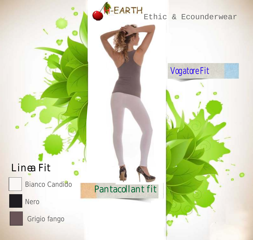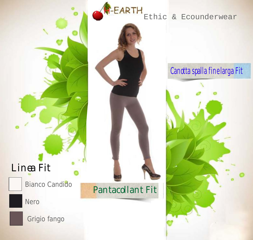

# Linea Fit

Bianco Candido

Nero



Pantacollant Fit

# Canotta spalla fine larga Fit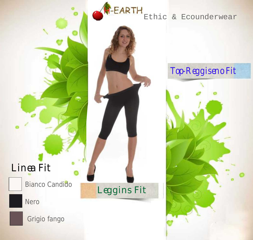-EARTH

#### Ethic & Ecounderwear

# Linea Fit

**Bianco Candido** 

Nero



Leggins Fit

## Top-Reggiseno Fit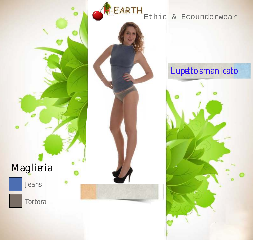**T-EARTH** Ethic & Ecounderwear

Lupetto smanicato

# Maglieria

# Jeans

Tortora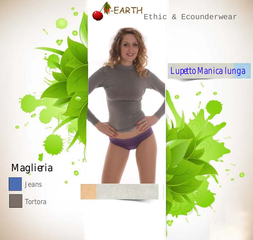**T-EARTH** Ethic & Ecounderwear

# Maglieria

# Jeans

Tortora

# Lupetto Manica lunga